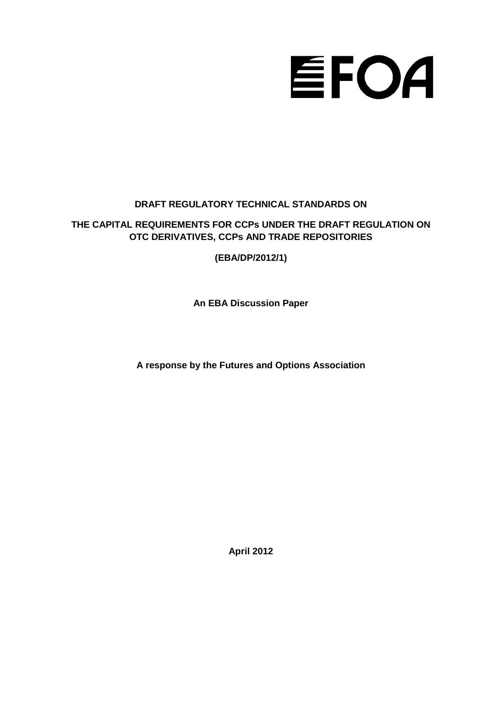# EFOA

# **DRAFT REGULATORY TECHNICAL STANDARDS ON**

# **THE CAPITAL REQUIREMENTS FOR CCPs UNDER THE DRAFT REGULATION ON OTC DERIVATIVES, CCPs AND TRADE REPOSITORIES**

**(EBA/DP/2012/1)**

**An EBA Discussion Paper**

**A response by the Futures and Options Association**

**April 2012**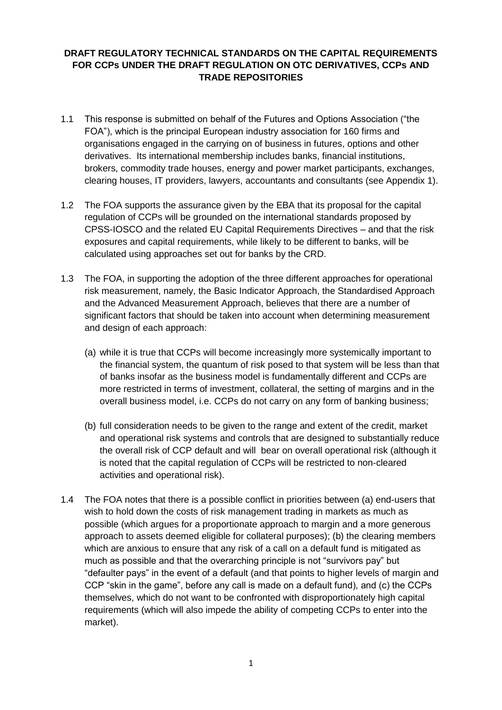## **DRAFT REGULATORY TECHNICAL STANDARDS ON THE CAPITAL REQUIREMENTS FOR CCPs UNDER THE DRAFT REGULATION ON OTC DERIVATIVES, CCPs AND TRADE REPOSITORIES**

- 1.1 This response is submitted on behalf of the Futures and Options Association ("the FOA"), which is the principal European industry association for 160 firms and organisations engaged in the carrying on of business in futures, options and other derivatives. Its international membership includes banks, financial institutions, brokers, commodity trade houses, energy and power market participants, exchanges, clearing houses, IT providers, lawyers, accountants and consultants (see Appendix 1).
- 1.2 The FOA supports the assurance given by the EBA that its proposal for the capital regulation of CCPs will be grounded on the international standards proposed by CPSS-IOSCO and the related EU Capital Requirements Directives – and that the risk exposures and capital requirements, while likely to be different to banks, will be calculated using approaches set out for banks by the CRD.
- 1.3 The FOA, in supporting the adoption of the three different approaches for operational risk measurement, namely, the Basic Indicator Approach, the Standardised Approach and the Advanced Measurement Approach, believes that there are a number of significant factors that should be taken into account when determining measurement and design of each approach:
	- (a) while it is true that CCPs will become increasingly more systemically important to the financial system, the quantum of risk posed to that system will be less than that of banks insofar as the business model is fundamentally different and CCPs are more restricted in terms of investment, collateral, the setting of margins and in the overall business model, i.e. CCPs do not carry on any form of banking business;
	- (b) full consideration needs to be given to the range and extent of the credit, market and operational risk systems and controls that are designed to substantially reduce the overall risk of CCP default and will bear on overall operational risk (although it is noted that the capital regulation of CCPs will be restricted to non-cleared activities and operational risk).
- 1.4 The FOA notes that there is a possible conflict in priorities between (a) end-users that wish to hold down the costs of risk management trading in markets as much as possible (which argues for a proportionate approach to margin and a more generous approach to assets deemed eligible for collateral purposes); (b) the clearing members which are anxious to ensure that any risk of a call on a default fund is mitigated as much as possible and that the overarching principle is not "survivors pay" but "defaulter pays" in the event of a default (and that points to higher levels of margin and CCP "skin in the game", before any call is made on a default fund), and (c) the CCPs themselves, which do not want to be confronted with disproportionately high capital requirements (which will also impede the ability of competing CCPs to enter into the market).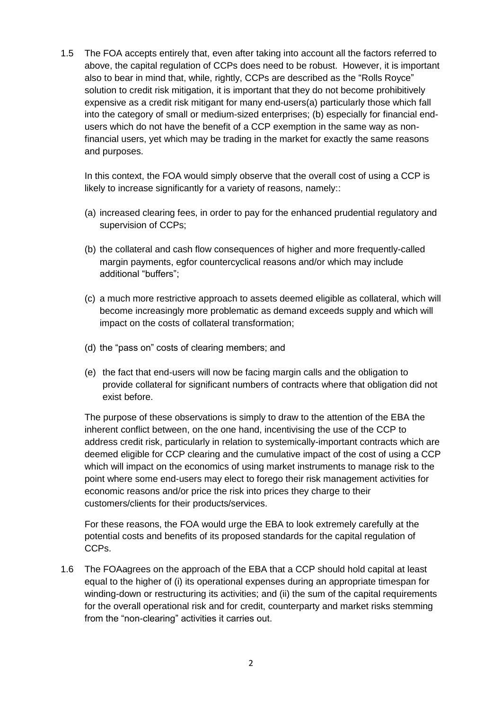1.5 The FOA accepts entirely that, even after taking into account all the factors referred to above, the capital regulation of CCPs does need to be robust. However, it is important also to bear in mind that, while, rightly, CCPs are described as the "Rolls Royce" solution to credit risk mitigation, it is important that they do not become prohibitively expensive as a credit risk mitigant for many end-users(a) particularly those which fall into the category of small or medium-sized enterprises; (b) especially for financial endusers which do not have the benefit of a CCP exemption in the same way as nonfinancial users, yet which may be trading in the market for exactly the same reasons and purposes.

In this context, the FOA would simply observe that the overall cost of using a CCP is likely to increase significantly for a variety of reasons, namely::

- (a) increased clearing fees, in order to pay for the enhanced prudential regulatory and supervision of CCPs;
- (b) the collateral and cash flow consequences of higher and more frequently-called margin payments, egfor countercyclical reasons and/or which may include additional "buffers";
- (c) a much more restrictive approach to assets deemed eligible as collateral, which will become increasingly more problematic as demand exceeds supply and which will impact on the costs of collateral transformation;
- (d) the "pass on" costs of clearing members; and
- (e) the fact that end-users will now be facing margin calls and the obligation to provide collateral for significant numbers of contracts where that obligation did not exist before.

The purpose of these observations is simply to draw to the attention of the EBA the inherent conflict between, on the one hand, incentivising the use of the CCP to address credit risk, particularly in relation to systemically-important contracts which are deemed eligible for CCP clearing and the cumulative impact of the cost of using a CCP which will impact on the economics of using market instruments to manage risk to the point where some end-users may elect to forego their risk management activities for economic reasons and/or price the risk into prices they charge to their customers/clients for their products/services.

For these reasons, the FOA would urge the EBA to look extremely carefully at the potential costs and benefits of its proposed standards for the capital regulation of CCPs.

1.6 The FOAagrees on the approach of the EBA that a CCP should hold capital at least equal to the higher of (i) its operational expenses during an appropriate timespan for winding-down or restructuring its activities; and (ii) the sum of the capital requirements for the overall operational risk and for credit, counterparty and market risks stemming from the "non-clearing" activities it carries out.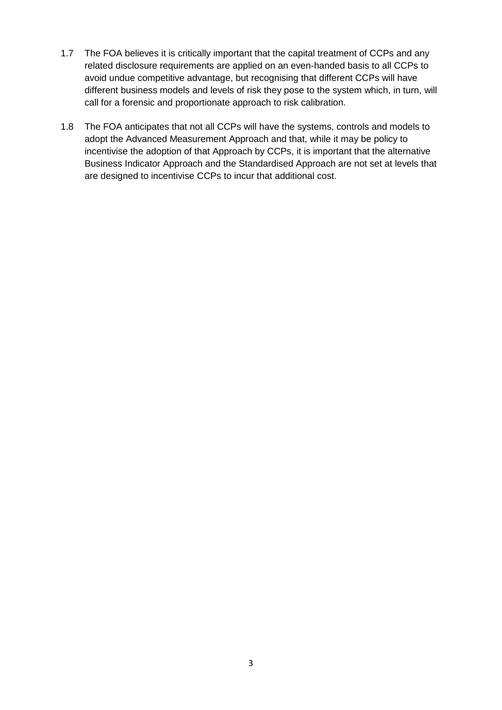- 1.7 The FOA believes it is critically important that the capital treatment of CCPs and any related disclosure requirements are applied on an even-handed basis to all CCPs to avoid undue competitive advantage, but recognising that different CCPs will have different business models and levels of risk they pose to the system which, in turn, will call for a forensic and proportionate approach to risk calibration.
- 1.8 The FOA anticipates that not all CCPs will have the systems, controls and models to adopt the Advanced Measurement Approach and that, while it may be policy to incentivise the adoption of that Approach by CCPs, it is important that the alternative Business Indicator Approach and the Standardised Approach are not set at levels that are designed to incentivise CCPs to incur that additional cost.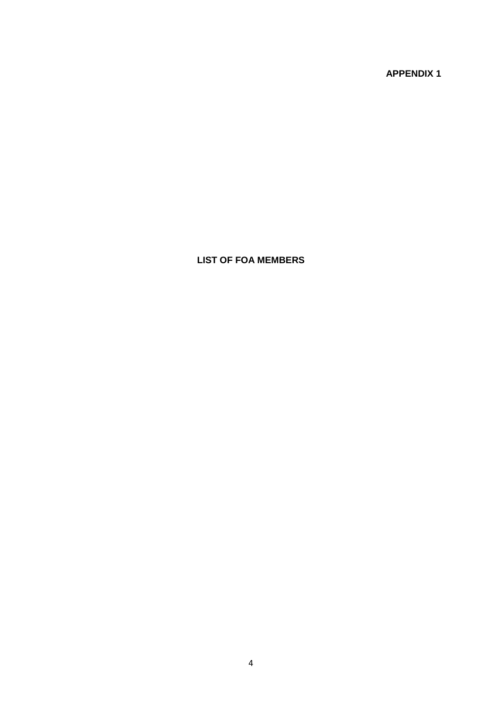**APPENDIX 1**

# **LIST OF FOA MEMBERS**